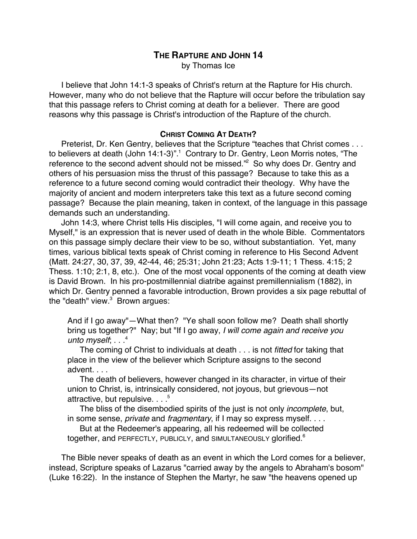# **THE RAPTURE AND JOHN 14**

by Thomas Ice

I believe that John 14:1-3 speaks of Christ's return at the Rapture for His church. However, many who do not believe that the Rapture will occur before the tribulation say that this passage refers to Christ coming at death for a believer. There are good reasons why this passage is Christ's introduction of the Rapture of the church.

## **CHRIST COMING AT DEATH?**

Preterist, Dr. Ken Gentry, believes that the Scripture "teaches that Christ comes . . . to believers at death (John 14:1-3)".<sup>1</sup> Contrary to Dr. Gentry, Leon Morris notes, "The reference to the second advent should not be missed."<sup>2</sup> So why does Dr. Gentry and others of his persuasion miss the thrust of this passage? Because to take this as a reference to a future second coming would contradict their theology. Why have the majority of ancient and modern interpreters take this text as a future second coming passage? Because the plain meaning, taken in context, of the language in this passage demands such an understanding.

John 14:3, where Christ tells His disciples, "I will come again, and receive you to Myself," is an expression that is never used of death in the whole Bible. Commentators on this passage simply declare their view to be so, without substantiation. Yet, many times, various biblical texts speak of Christ coming in reference to His Second Advent (Matt. 24:27, 30, 37, 39, 42-44, 46; 25:31; John 21:23; Acts 1:9-11; 1 Thess. 4:15; 2 Thess. 1:10; 2:1, 8, etc.). One of the most vocal opponents of the coming at death view is David Brown. In his pro-postmillennial diatribe against premillennialism (1882), in which Dr. Gentry penned a favorable introduction, Brown provides a six page rebuttal of the "death" view.<sup>3</sup> Brown argues:

And if I go away"—What then? "Ye shall soon follow me? Death shall shortly bring us together?" Nay; but "If I go away, I will come again and receive you unto myself;  $\ldots$ <sup>4</sup>

The coming of Christ to individuals at death . . . is not fitted for taking that place in the view of the believer which Scripture assigns to the second advent. . . .

The death of believers, however changed in its character, in virtue of their union to Christ, is, intrinsically considered, not joyous, but grievous—not attractive, but repulsive.  $\ldots$ <sup>5</sup>

The bliss of the disembodied spirits of the just is not only *incomplete*, but, in some sense, *private* and *fragmentary*, if I may so express myself. . . .

But at the Redeemer's appearing, all his redeemed will be collected together, and PERFECTLY, PUBLICLY, and SIMULTANEOUSLY glorified.<sup>6</sup>

The Bible never speaks of death as an event in which the Lord comes for a believer, instead, Scripture speaks of Lazarus "carried away by the angels to Abraham's bosom" (Luke 16:22). In the instance of Stephen the Martyr, he saw "the heavens opened up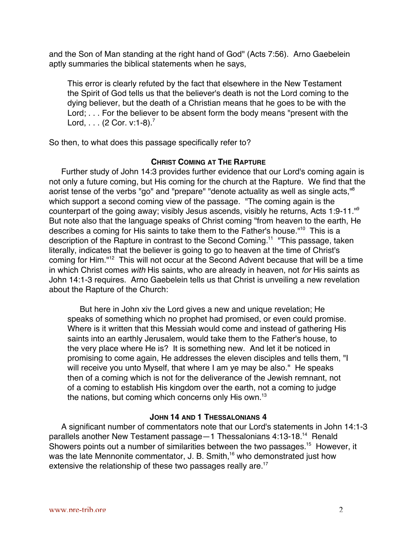and the Son of Man standing at the right hand of God" (Acts 7:56). Arno Gaebelein aptly summaries the biblical statements when he says,

This error is clearly refuted by the fact that elsewhere in the New Testament the Spirit of God tells us that the believer's death is not the Lord coming to the dying believer, but the death of a Christian means that he goes to be with the Lord; . . . For the believer to be absent form the body means "present with the Lord,  $\ldots$  (2 Cor. v:1-8).<sup>7</sup>

So then, to what does this passage specifically refer to?

## **CHRIST COMING AT THE RAPTURE**

Further study of John 14:3 provides further evidence that our Lord's coming again is not only a future coming, but His coming for the church at the Rapture. We find that the aorist tense of the verbs "go" and "prepare" "denote actuality as well as single acts."<sup>8</sup> which support a second coming view of the passage. "The coming again is the counterpart of the going away; visibly Jesus ascends, visibly he returns, Acts 1:9-11."9 But note also that the language speaks of Christ coming "from heaven to the earth, He describes a coming for His saints to take them to the Father's house."<sup>10</sup> This is a description of the Rapture in contrast to the Second Coming.<sup>11</sup> "This passage, taken literally, indicates that the believer is going to go to heaven at the time of Christ's coming for Him."<sup>12</sup> This will not occur at the Second Advent because that will be a time in which Christ comes with His saints, who are already in heaven, not for His saints as John 14:1-3 requires. Arno Gaebelein tells us that Christ is unveiling a new revelation about the Rapture of the Church:

But here in John xiv the Lord gives a new and unique revelation; He speaks of something which no prophet had promised, or even could promise. Where is it written that this Messiah would come and instead of gathering His saints into an earthly Jerusalem, would take them to the Father's house, to the very place where He is? It is something new. And let it be noticed in promising to come again, He addresses the eleven disciples and tells them, "I will receive you unto Myself, that where I am ye may be also." He speaks then of a coming which is not for the deliverance of the Jewish remnant, not of a coming to establish His kingdom over the earth, not a coming to judge the nations, but coming which concerns only His own.<sup>13</sup>

## **JOHN 14 AND 1 THESSALONIANS 4**

A significant number of commentators note that our Lord's statements in John 14:1-3 parallels another New Testament passage - 1 Thessalonians 4:13-18.<sup>14</sup> Renald Showers points out a number of similarities between the two passages.<sup>15</sup> However, it was the late Mennonite commentator, J. B. Smith,<sup>16</sup> who demonstrated just how extensive the relationship of these two passages really are.<sup>17</sup>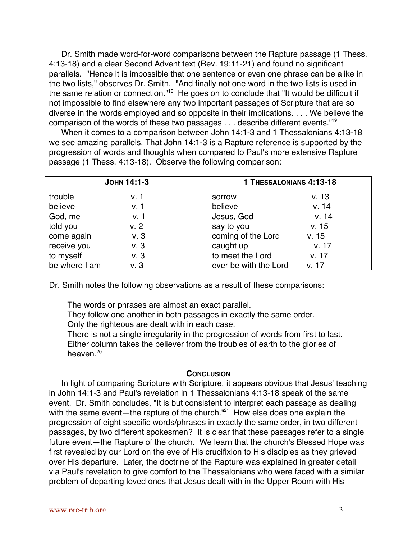Dr. Smith made word-for-word comparisons between the Rapture passage (1 Thess. 4:13-18) and a clear Second Advent text (Rev. 19:11-21) and found no significant parallels. "Hence it is impossible that one sentence or even one phrase can be alike in the two lists," observes Dr. Smith. "And finally not one word in the two lists is used in the same relation or connection."<sup>18</sup> He goes on to conclude that "It would be difficult if not impossible to find elsewhere any two important passages of Scripture that are so diverse in the words employed and so opposite in their implications. . . . We believe the comparison of the words of these two passages . . . describe different events."19

When it comes to a comparison between John 14:1-3 and 1 Thessalonians 4:13-18 we see amazing parallels. That John 14:1-3 is a Rapture reference is supported by the progression of words and thoughts when compared to Paul's more extensive Rapture passage (1 Thess. 4:13-18). Observe the following comparison:

| JOHN 14:1-3   |      |                       | 1 THESSALONIANS 4:13-18 |  |
|---------------|------|-----------------------|-------------------------|--|
| trouble       | v. 1 | sorrow                | v.13                    |  |
| believe       | V.1  | believe               | v. 14                   |  |
| God, me       | v. 1 | Jesus, God            | v. 14                   |  |
| told you      | V. 2 | say to you            | v. 15                   |  |
| come again    | v.3  | coming of the Lord    | v. 15                   |  |
| receive you   | v.3  | caught up             | v. 17                   |  |
| to myself     | v.3  | to meet the Lord      | v. 17                   |  |
| be where I am | v.3  | ever be with the Lord | V. 17                   |  |

Dr. Smith notes the following observations as a result of these comparisons:

The words or phrases are almost an exact parallel.

They follow one another in both passages in exactly the same order.

Only the righteous are dealt with in each case.

There is not a single irregularity in the progression of words from first to last. Either column takes the believer from the troubles of earth to the glories of heaven.<sup>20</sup>

### **CONCLUSION**

In light of comparing Scripture with Scripture, it appears obvious that Jesus' teaching in John 14:1-3 and Paul's revelation in 1 Thessalonians 4:13-18 speak of the same event. Dr. Smith concludes, "It is but consistent to interpret each passage as dealing with the same event—the rapture of the church."<sup>21</sup> How else does one explain the progression of eight specific words/phrases in exactly the same order, in two different passages, by two different spokesmen? It is clear that these passages refer to a single future event—the Rapture of the church. We learn that the church's Blessed Hope was first revealed by our Lord on the eve of His crucifixion to His disciples as they grieved over His departure. Later, the doctrine of the Rapture was explained in greater detail via Paul's revelation to give comfort to the Thessalonians who were faced with a similar problem of departing loved ones that Jesus dealt with in the Upper Room with His